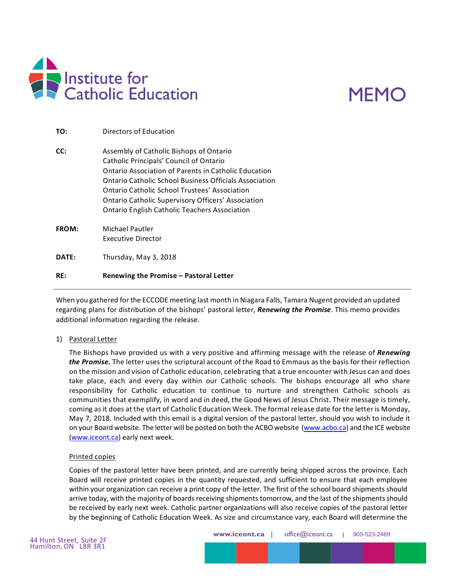

## MEMO

| TO:        | Directors of Education                                                                                                                                                                                                                                                                                                                                              |
|------------|---------------------------------------------------------------------------------------------------------------------------------------------------------------------------------------------------------------------------------------------------------------------------------------------------------------------------------------------------------------------|
| CC:        | Assembly of Catholic Bishops of Ontario<br>Catholic Principals' Council of Ontario<br>Ontario Association of Parents in Catholic Education<br>Ontario Catholic School Business Officials Association<br>Ontario Catholic School Trustees' Association<br>Ontario Catholic Supervisory Officers' Association<br><b>Ontario English Catholic Teachers Association</b> |
| FROM:      | Michael Pautler<br>Executive Director                                                                                                                                                                                                                                                                                                                               |
| DATE:      | Thursday, May 3, 2018                                                                                                                                                                                                                                                                                                                                               |
| <b>RE:</b> | Renewing the Promise - Pastoral Letter                                                                                                                                                                                                                                                                                                                              |

When you gathered for the ECCODE meeting last month in Niagara Falls, Tamara Nugent provided an updated regarding plans for distribution of the bishops' pastoral letter, *Renewing the Promise*. This memo provides additional information regarding the release.

## 1) Pastoral Letter

The Bishops have provided us with a very positive and affirming message with the release of *Renewing the Promise.* The letter uses the scriptural account of the Road to Emmaus as the basis for their reflection on the mission and vision of Catholic education, celebrating that a true encounter with Jesus can and does take place, each and every day within our Catholic schools. The bishops encourage all who share responsibility for Catholic education to continue to nurture and strengthen Catholic schools as communities that exemplify, in word and in deed, the Good News of Jesus Christ. Their message is timely, coming as it does at the start of Catholic Education Week. The formal release date for the letter is Monday, May 7, 2018. Included with this email is a digital version of the pastoral letter, should you wish to include it on your Board website. The letter will be posted on both the ACBO website (www.acbo.ca) and the ICE website (www.iceont.ca) early next week.

## Printed copies

Copies of the pastoral letter have been printed, and are currently being shipped across the province. Each Board will receive printed copies in the quantity requested, and sufficient to ensure that each employee within your organization can receive a print copy of the letter. The first of the school board shipments should arrive today, with the majority of boards receiving shipments tomorrow, and the last of the shipments should be received by early next week. Catholic partner organizations will also receive copies of the pastoral letter by the beginning of Catholic Education Week. As size and circumstance vary, each Board will determine the

**www.iceont.ca |** office@iceont.ca **|** 905-523-2469

44 Hunt Street, Suite 2F Hamilton, ON L8R 3R1